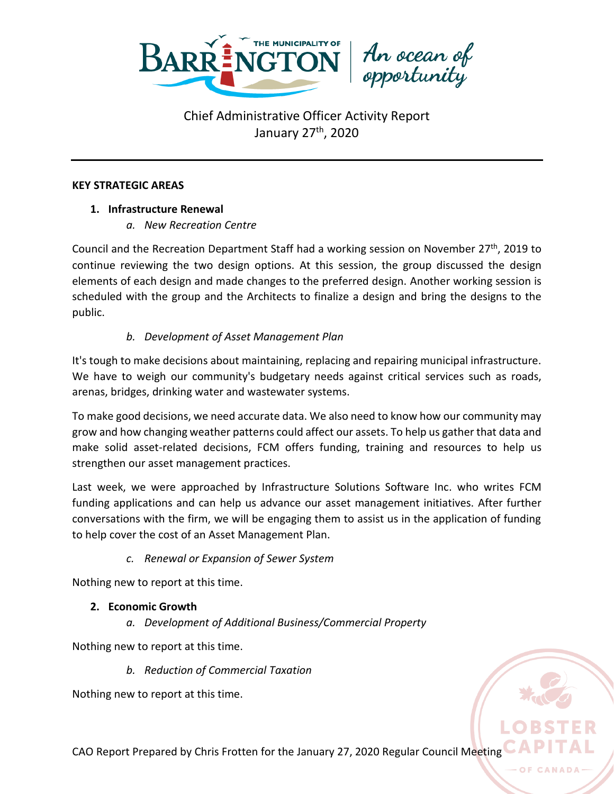

#### **KEY STRATEGIC AREAS**

### **1. Infrastructure Renewal**

*a. New Recreation Centre*

Council and the Recreation Department Staff had a working session on November 27<sup>th</sup>, 2019 to continue reviewing the two design options. At this session, the group discussed the design elements of each design and made changes to the preferred design. Another working session is scheduled with the group and the Architects to finalize a design and bring the designs to the public.

## *b. Development of Asset Management Plan*

It's tough to make decisions about maintaining, replacing and repairing municipal infrastructure. We have to weigh our community's budgetary needs against critical services such as roads, arenas, bridges, drinking water and wastewater systems.

To make good decisions, we need accurate data. We also need to know how our community may grow and how changing weather patterns could affect our assets. To help us gather that data and make solid asset-related decisions, FCM offers funding, training and resources to help us strengthen our asset management practices.

Last week, we were approached by Infrastructure Solutions Software Inc. who writes FCM funding applications and can help us advance our asset management initiatives. After further conversations with the firm, we will be engaging them to assist us in the application of funding to help cover the cost of an Asset Management Plan.

#### *c. Renewal or Expansion of Sewer System*

Nothing new to report at this time.

#### **2. Economic Growth**

*a. Development of Additional Business/Commercial Property*

Nothing new to report at this time.

*b. Reduction of Commercial Taxation*

Nothing new to report at this time.



OF CANA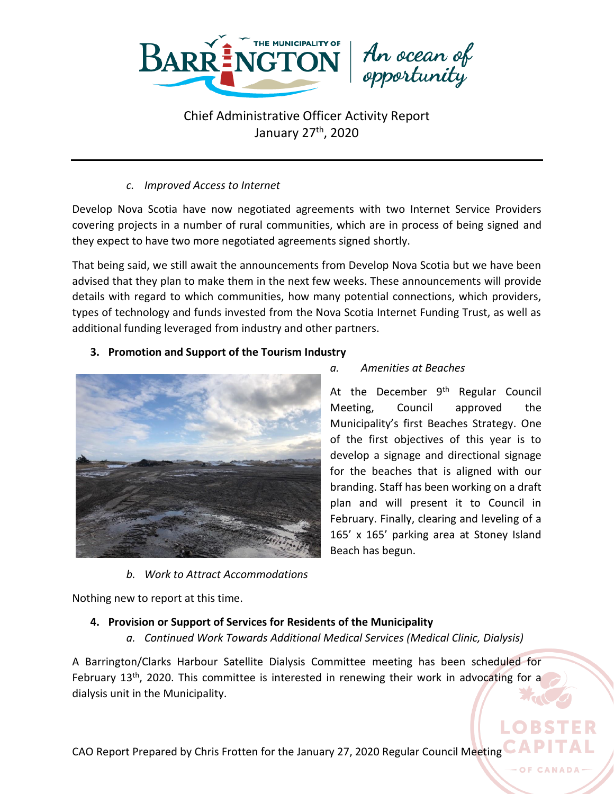

*c. Improved Access to Internet*

Develop Nova Scotia have now negotiated agreements with two Internet Service Providers covering projects in a number of rural communities, which are in process of being signed and they expect to have two more negotiated agreements signed shortly.

That being said, we still await the announcements from Develop Nova Scotia but we have been advised that they plan to make them in the next few weeks. These announcements will provide details with regard to which communities, how many potential connections, which providers, types of technology and funds invested from the Nova Scotia Internet Funding Trust, as well as additional funding leveraged from industry and other partners.

### **3. Promotion and Support of the Tourism Industry**



*b. Work to Attract Accommodations*

*a. Amenities at Beaches*

At the December  $9<sup>th</sup>$  Regular Council Meeting, Council approved the Municipality's first Beaches Strategy. One of the first objectives of this year is to develop a signage and directional signage for the beaches that is aligned with our branding. Staff has been working on a draft plan and will present it to Council in February. Finally, clearing and leveling of a 165' x 165' parking area at Stoney Island Beach has begun.

Nothing new to report at this time.

## **4. Provision or Support of Services for Residents of the Municipality**

*a. Continued Work Towards Additional Medical Services (Medical Clinic, Dialysis)*

A Barrington/Clarks Harbour Satellite Dialysis Committee meeting has been scheduled for February 13<sup>th</sup>, 2020. This committee is interested in renewing their work in advocating for a dialysis unit in the Municipality.

CAO Report Prepared by Chris Frotten for the January 27, 2020 Regular Council Meeting

O<sub>F</sub>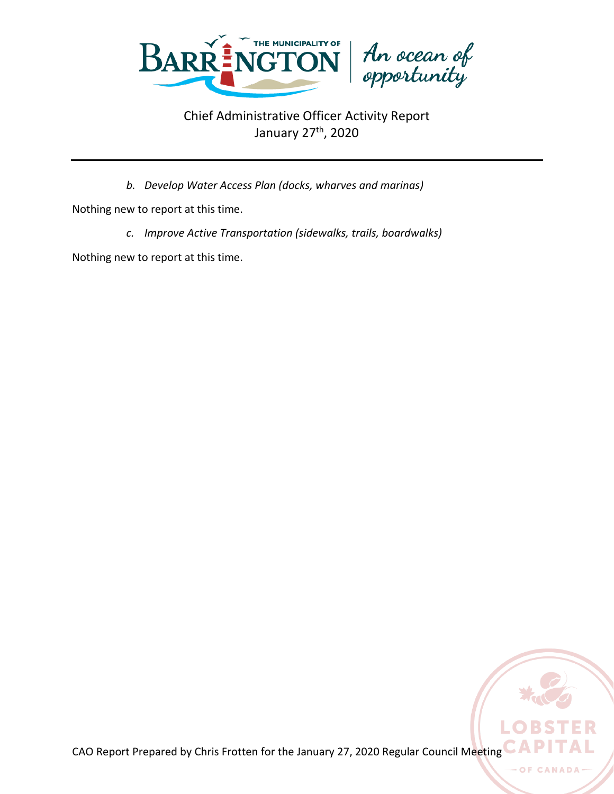

*b. Develop Water Access Plan (docks, wharves and marinas)*

Nothing new to report at this time.

*c. Improve Active Transportation (sidewalks, trails, boardwalks)*

Nothing new to report at this time.

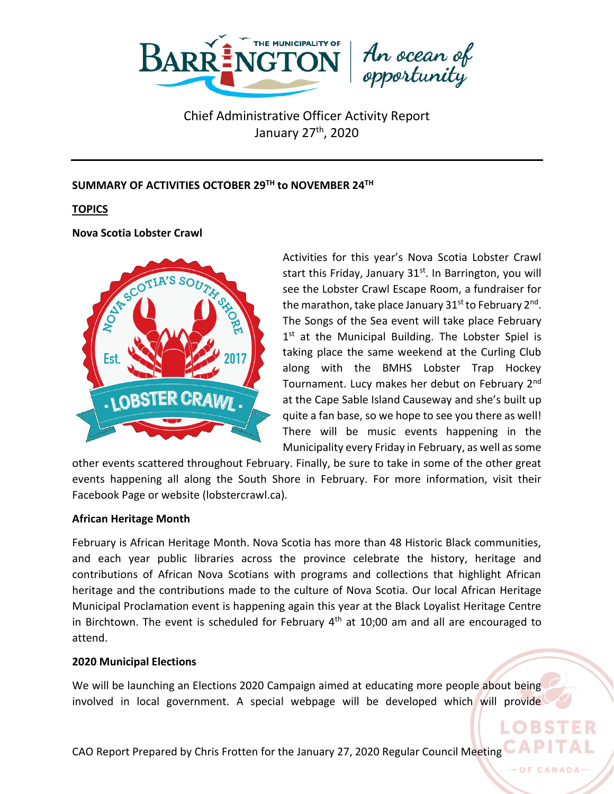

#### **SUMMARY OF ACTIVITIES OCTOBER 29TH to NOVEMBER 24TH**

**TOPICS**

**Nova Scotia Lobster Crawl**



Activities for this year's Nova Scotia Lobster Crawl start this Friday, January  $31<sup>st</sup>$ . In Barrington, you will see the Lobster Crawl Escape Room, a fundraiser for the marathon, take place January 31<sup>st</sup> to February 2<sup>nd</sup>. The Songs of the Sea event will take place February 1<sup>st</sup> at the Municipal Building. The Lobster Spiel is taking place the same weekend at the Curling Club along with the BMHS Lobster Trap Hockey Tournament. Lucy makes her debut on February 2nd at the Cape Sable Island Causeway and she's built up quite a fan base, so we hope to see you there as well! There will be music events happening in the Municipality every Friday in February, as well as some

LO BS

other events scattered throughout February. Finally, be sure to take in some of the other great events happening all along the South Shore in February. For more information, visit their Facebook Page or website (lobstercrawl.ca).

#### **African Heritage Month**

February is African Heritage Month. Nova Scotia has more than 48 Historic Black communities, and each year public libraries across the province celebrate the history, heritage and contributions of African Nova Scotians with programs and collections that highlight African heritage and the contributions made to the culture of Nova Scotia. Our local African Heritage Municipal Proclamation event is happening again this year at the Black Loyalist Heritage Centre in Birchtown. The event is scheduled for February  $4<sup>th</sup>$  at 10;00 am and all are encouraged to attend.

#### **2020 Municipal Elections**

We will be launching an Elections 2020 Campaign aimed at educating more people about being involved in local government. A special webpage will be developed which will provide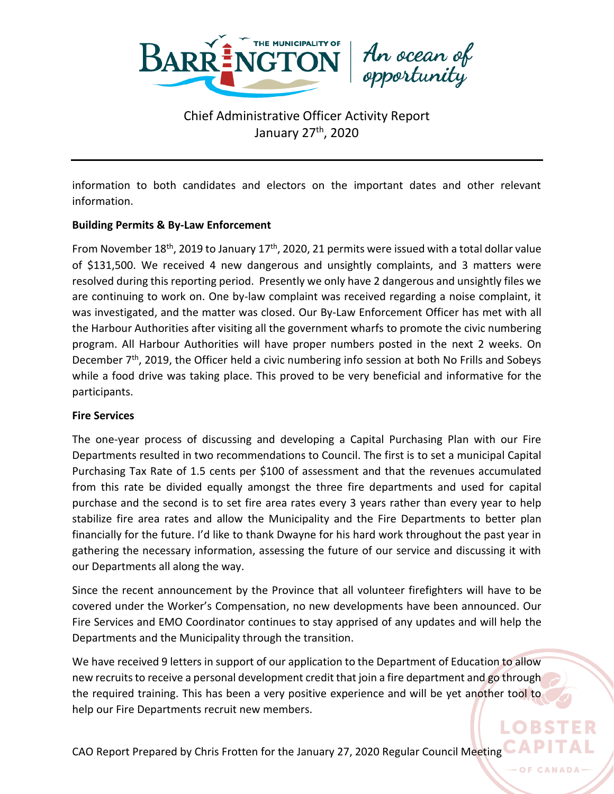

information to both candidates and electors on the important dates and other relevant information.

#### **Building Permits & By-Law Enforcement**

From November 18<sup>th</sup>, 2019 to January 17<sup>th</sup>, 2020, 21 permits were issued with a total dollar value of \$131,500. We received 4 new dangerous and unsightly complaints, and 3 matters were resolved during this reporting period. Presently we only have 2 dangerous and unsightly files we are continuing to work on. One by-law complaint was received regarding a noise complaint, it was investigated, and the matter was closed. Our By-Law Enforcement Officer has met with all the Harbour Authorities after visiting all the government wharfs to promote the civic numbering program. All Harbour Authorities will have proper numbers posted in the next 2 weeks. On December 7<sup>th</sup>, 2019, the Officer held a civic numbering info session at both No Frills and Sobeys while a food drive was taking place. This proved to be very beneficial and informative for the participants.

#### **Fire Services**

The one-year process of discussing and developing a Capital Purchasing Plan with our Fire Departments resulted in two recommendations to Council. The first is to set a municipal Capital Purchasing Tax Rate of 1.5 cents per \$100 of assessment and that the revenues accumulated from this rate be divided equally amongst the three fire departments and used for capital purchase and the second is to set fire area rates every 3 years rather than every year to help stabilize fire area rates and allow the Municipality and the Fire Departments to better plan financially for the future. I'd like to thank Dwayne for his hard work throughout the past year in gathering the necessary information, assessing the future of our service and discussing it with our Departments all along the way.

Since the recent announcement by the Province that all volunteer firefighters will have to be covered under the Worker's Compensation, no new developments have been announced. Our Fire Services and EMO Coordinator continues to stay apprised of any updates and will help the Departments and the Municipality through the transition.

We have received 9 letters in support of our application to the Department of Education to allow new recruits to receive a personal development credit that join a fire department and go through the required training. This has been a very positive experience and will be yet another tool to help our Fire Departments recruit new members.

CAO Report Prepared by Chris Frotten for the January 27, 2020 Regular Council Meeting CAP

OF CANA

LOBST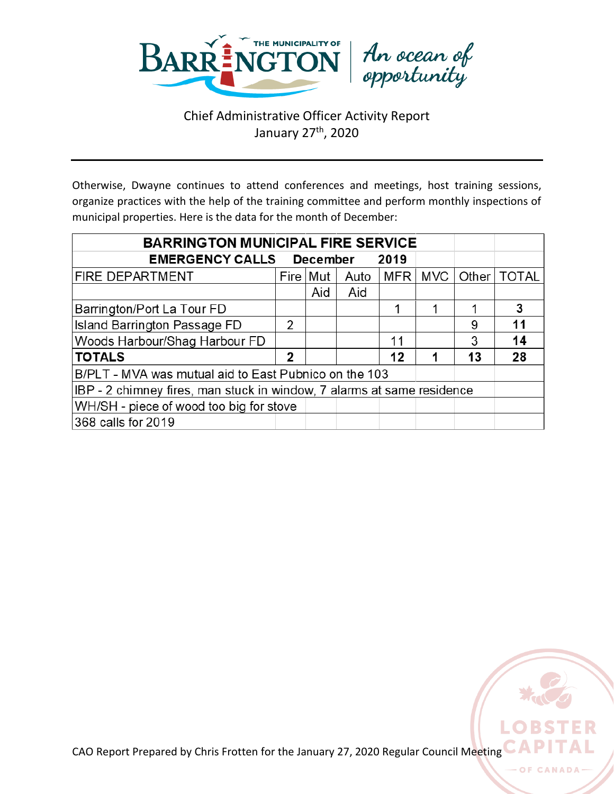

Otherwise, Dwayne continues to attend conferences and meetings, host training sessions, organize practices with the help of the training committee and perform monthly inspections of municipal properties. Here is the data for the month of December:

| <b>BARRINGTON MUNICIPAL FIRE SERVICE</b>                               |      |     |      |     |     |    |               |
|------------------------------------------------------------------------|------|-----|------|-----|-----|----|---------------|
| <b>EMERGENCY CALLS December</b><br>2019                                |      |     |      |     |     |    |               |
| FIRE DEPARTMENT                                                        | Fire | Mut | Auto | MFR | MVC |    | Other   TOTAL |
|                                                                        |      | Aid | Aid  |     |     |    |               |
| Barrington/Port La Tour FD                                             |      |     |      | 1   |     |    | 3             |
| Island Barrington Passage FD                                           | 2    |     |      |     |     | 9  | 11            |
| Woods Harbour/Shag Harbour FD                                          |      |     |      | 11  |     | 3  | 14            |
| <b>TOTALS</b>                                                          | 2    |     |      | 12  |     | 13 | 28            |
| B/PLT - MVA was mutual aid to East Pubnico on the 103                  |      |     |      |     |     |    |               |
| IBP - 2 chimney fires, man stuck in window, 7 alarms at same residence |      |     |      |     |     |    |               |
| WH/SH - piece of wood too big for stove                                |      |     |      |     |     |    |               |
| 368 calls for 2019                                                     |      |     |      |     |     |    |               |



O<sub>F</sub>